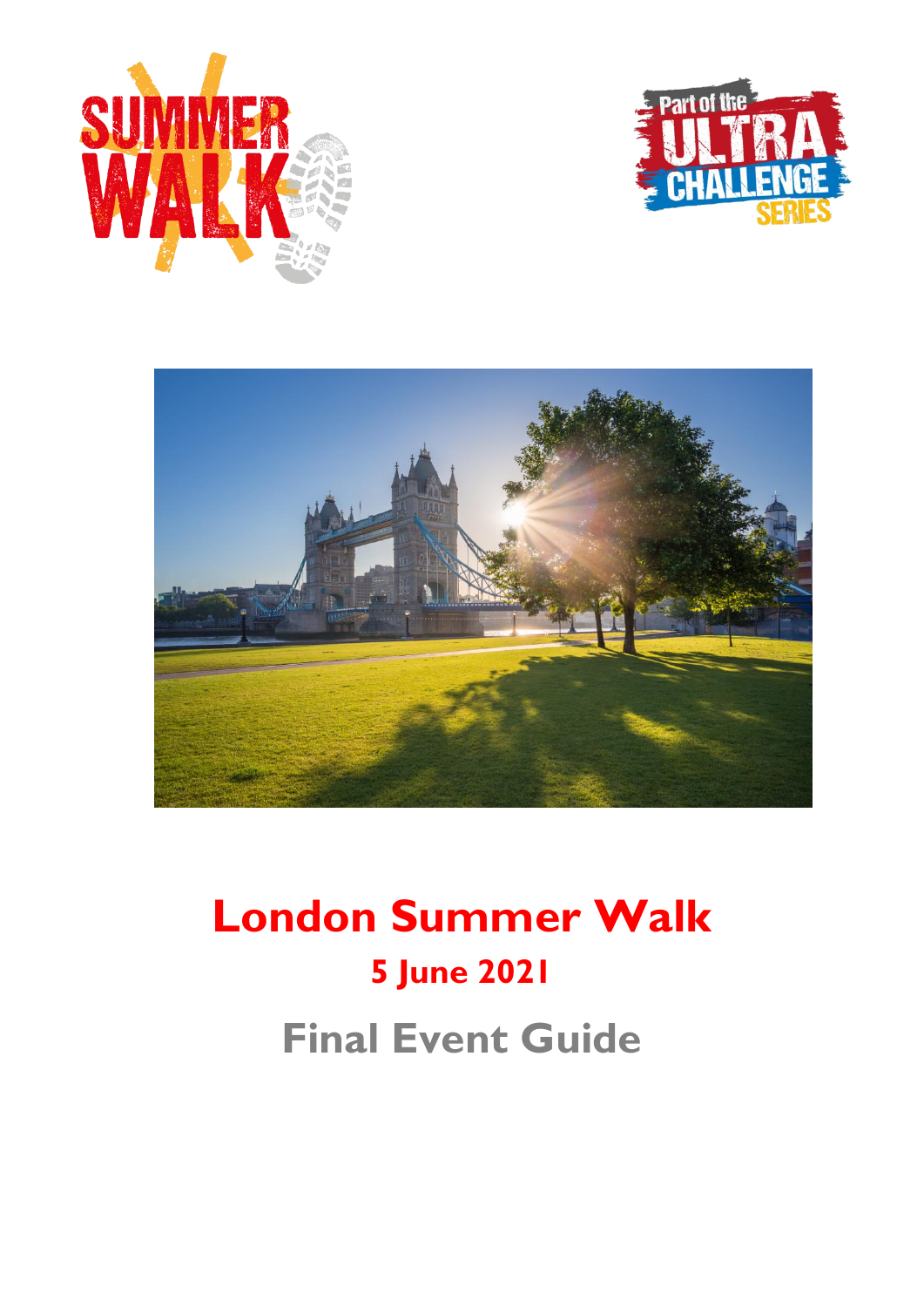





# **London Summer Walk 5 June 2021 Final Event Guide**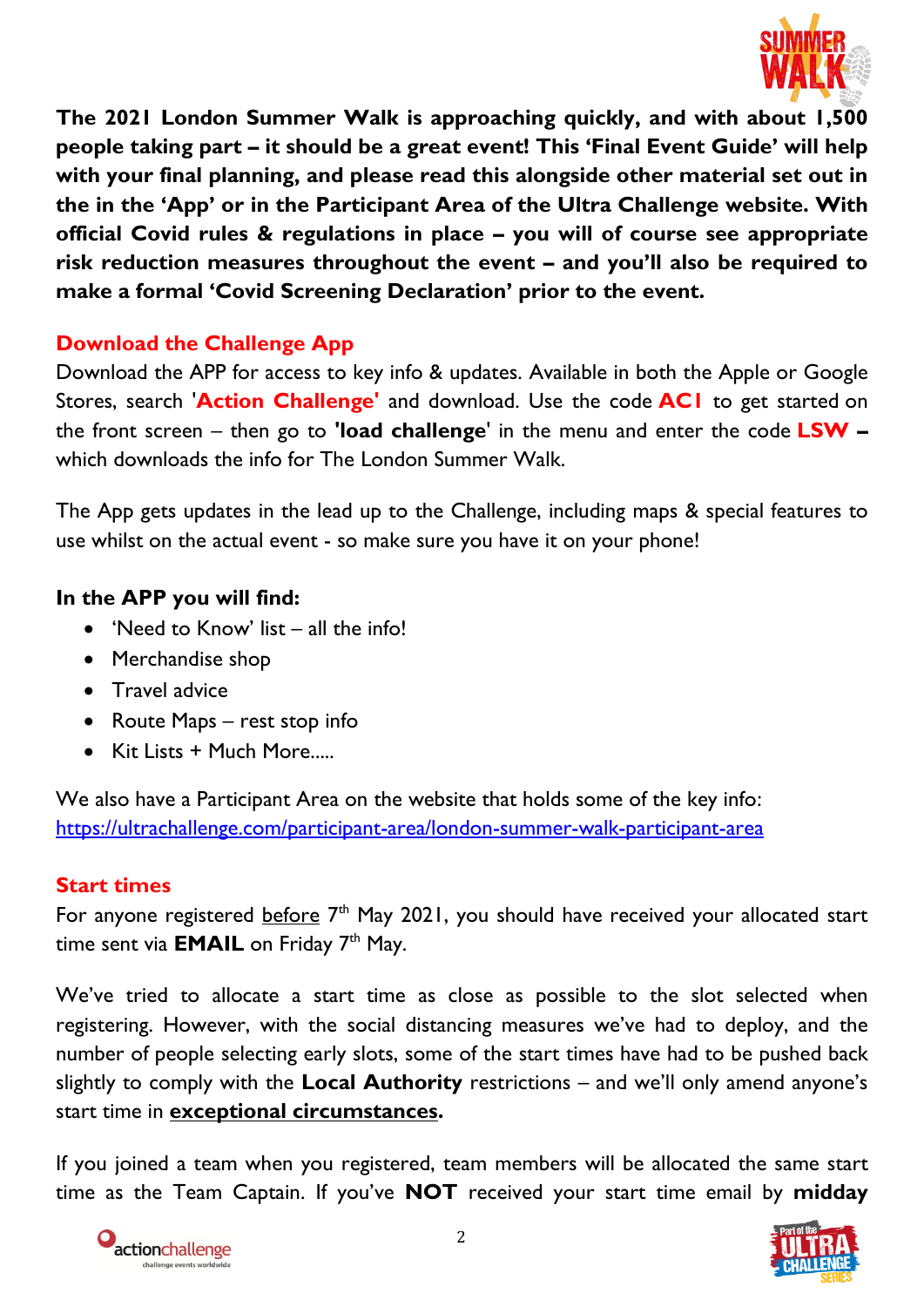

**The 2021 London Summer Walk is approaching quickly, and with about 1,500 people taking part – it should be a great event! This 'Final Event Guide' will help with your final planning, and please read this alongside other material set out in the in the 'App' or in the Participant Area of the Ultra Challenge website. With official Covid rules & regulations in place – you will of course see appropriate risk reduction measures throughout the event – and you'll also be required to make a formal 'Covid Screening Declaration' prior to the event.** 

## **Download the Challenge App**

Download the APP for access to key info & updates. Available in both the Apple or Google Stores, search '**Action Challenge'** and download. Use the code **AC1** to get started on the front screen – then go to **'load challenge**' in the menu and enter the code **LSW –** which downloads the info for The London Summer Walk.

The App gets updates in the lead up to the Challenge, including maps & special features to use whilst on the actual event - so make sure you have it on your phone!

## **In the APP you will find:**

- 'Need to Know' list all the info!
- Merchandise shop
- Travel advice
- Route Maps rest stop info
- Kit Lists + Much More.....

We also have a Participant Area on the website that holds some of the key info: <https://ultrachallenge.com/participant-area/london-summer-walk-participant-area>

#### **Start times**

For anyone registered before 7<sup>th</sup> May 2021, you should have received your allocated start time sent via **EMAIL** on Friday 7<sup>th</sup> May.

We've tried to allocate a start time as close as possible to the slot selected when registering. However, with the social distancing measures we've had to deploy, and the number of people selecting early slots, some of the start times have had to be pushed back slightly to comply with the **Local Authority** restrictions – and we'll only amend anyone's start time in **exceptional circumstances.**

If you joined a team when you registered, team members will be allocated the same start time as the Team Captain. If you've **NOT** received your start time email by **midday** 



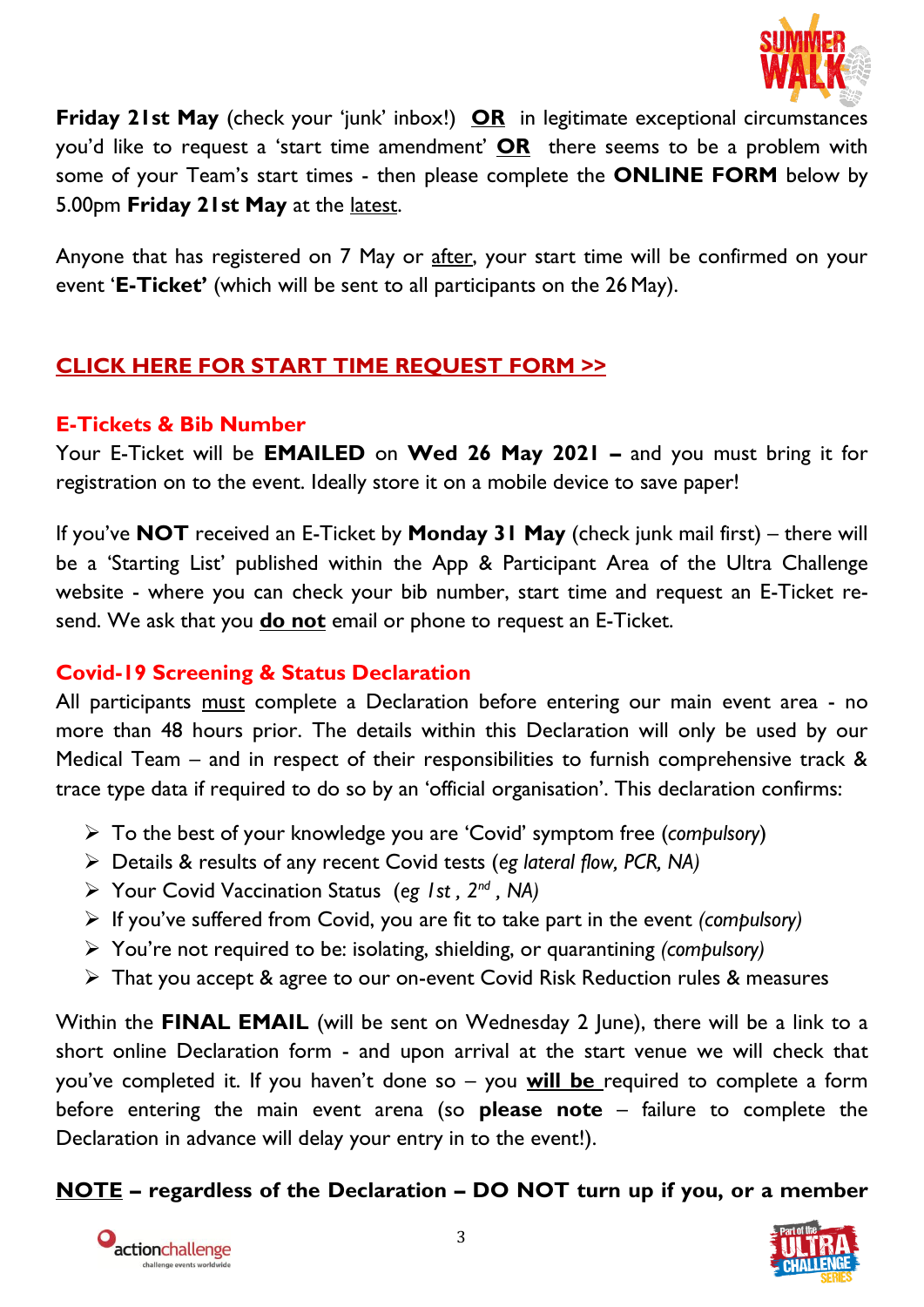

**Friday 21st May** (check your 'junk' inbox!) **OR** in legitimate exceptional circumstances you'd like to request a 'start time amendment' **OR** there seems to be a problem with some of your Team's start times - then please complete the **ONLINE FORM** below by 5.00pm **Friday 21st May** at the latest.

Anyone that has registered on 7 May or after, your start time will be confirmed on your event '**E-Ticket'** (which will be sent to all participants on the 26 May).

# **[CLICK HERE FOR START TIME REQUEST FORM](https://airtable.com/shrhqCq3GUKGdmSsZ) >>**

## **E-Tickets & Bib Number**

Your E-Ticket will be **EMAILED** on **Wed 26 May 2021 –** and you must bring it for registration on to the event. Ideally store it on a mobile device to save paper!

If you've **NOT** received an E-Ticket by **Monday 31 May** (check junk mail first) – there will be a 'Starting List' published within the App & Participant Area of the Ultra Challenge website - where you can check your bib number, start time and request an E-Ticket resend. We ask that you **do not** email or phone to request an E-Ticket.

## **Covid-19 Screening & Status Declaration**

All participants must complete a Declaration before entering our main event area - no more than 48 hours prior. The details within this Declaration will only be used by our Medical Team – and in respect of their responsibilities to furnish comprehensive track & trace type data if required to do so by an 'official organisation'. This declaration confirms:

- To the best of your knowledge you are 'Covid' symptom free (*compulsory*)
- Details & results of any recent Covid tests (*eg lateral flow, PCR, NA)*
- Your Covid Vaccination Status (*eg 1st , 2 nd , NA)*
- If you've suffered from Covid, you are fit to take part in the event *(compulsory)*
- You're not required to be: isolating, shielding, or quarantining *(compulsory)*
- That you accept & agree to our on-event Covid Risk Reduction rules & measures

Within the **FINAL EMAIL** (will be sent on Wednesday 2 June), there will be a link to a short online Declaration form - and upon arrival at the start venue we will check that you've completed it. If you haven't done so – you **will be** required to complete a form before entering the main event arena (so **please note** – failure to complete the Declaration in advance will delay your entry in to the event!).

## **NOTE – regardless of the Declaration – DO NOT turn up if you, or a member**



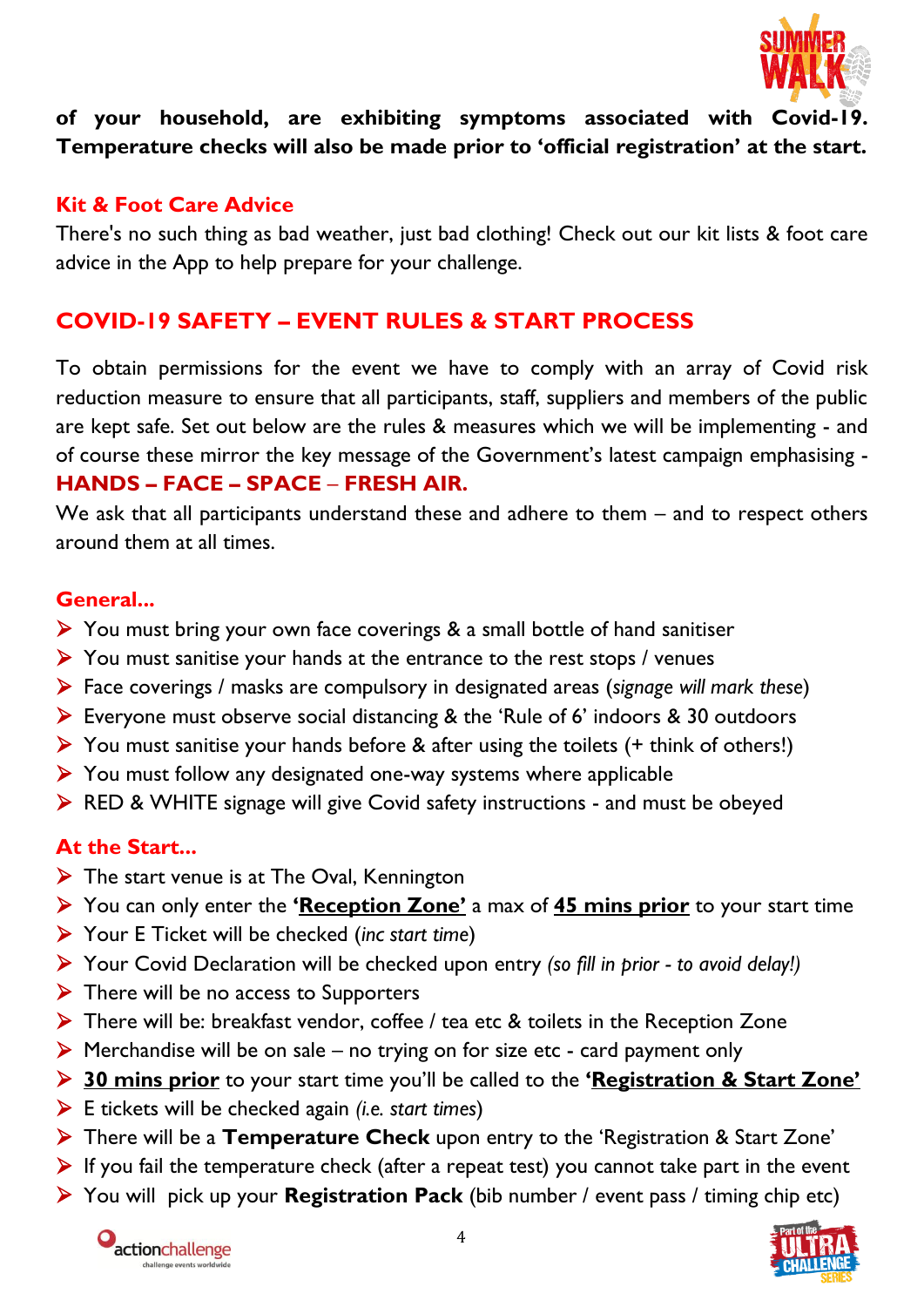

## **of your household, are exhibiting symptoms associated with Covid-19. Temperature checks will also be made prior to 'official registration' at the start.**

## **Kit & Foot Care Advice**

There's no such thing as bad weather, just bad clothing! Check out our kit lists & foot care advice in the App to help prepare for your challenge.

## **COVID-19 SAFETY – EVENT RULES & START PROCESS**

To obtain permissions for the event we have to comply with an array of Covid risk reduction measure to ensure that all participants, staff, suppliers and members of the public are kept safe. Set out below are the rules & measures which we will be implementing - and of course these mirror the key message of the Government's latest campaign emphasising - **HANDS – FACE – SPACE** – **FRESH AIR.**

We ask that all participants understand these and adhere to them – and to respect others around them at all times.

#### **General...**

- $\triangleright$  You must bring your own face coverings & a small bottle of hand sanitiser
- $\triangleright$  You must sanitise your hands at the entrance to the rest stops / venues
- Face coverings / masks are compulsory in designated areas (*signage will mark these*)
- Everyone must observe social distancing & the 'Rule of 6' indoors & 30 outdoors
- $\triangleright$  You must sanitise your hands before & after using the toilets (+ think of others!)
- $\triangleright$  You must follow any designated one-way systems where applicable
- ▶ RED & WHITE signage will give Covid safety instructions and must be obeyed

## **At the Start...**

- $\triangleright$  The start venue is at The Oval, Kennington
- You can only enter the **'Reception Zone'** a max of **45 mins prior** to your start time
- Your E Ticket will be checked (*inc start time*)
- Your Covid Declaration will be checked upon entry *(so fill in prior - to avoid delay!)*
- $\triangleright$  There will be no access to Supporters
- > There will be: breakfast vendor, coffee / tea etc & toilets in the Reception Zone
- $\triangleright$  Merchandise will be on sale no trying on for size etc card payment only
- **30 mins prior** to your start time you'll be called to the **'Registration & Start Zone'**
- E tickets will be checked again *(i.e. start times*)
- There will be a **Temperature Check** upon entry to the 'Registration & Start Zone'
- $\triangleright$  If you fail the temperature check (after a repeat test) you cannot take part in the event
- You will pick up your **Registration Pack** (bib number / event pass / timing chip etc)



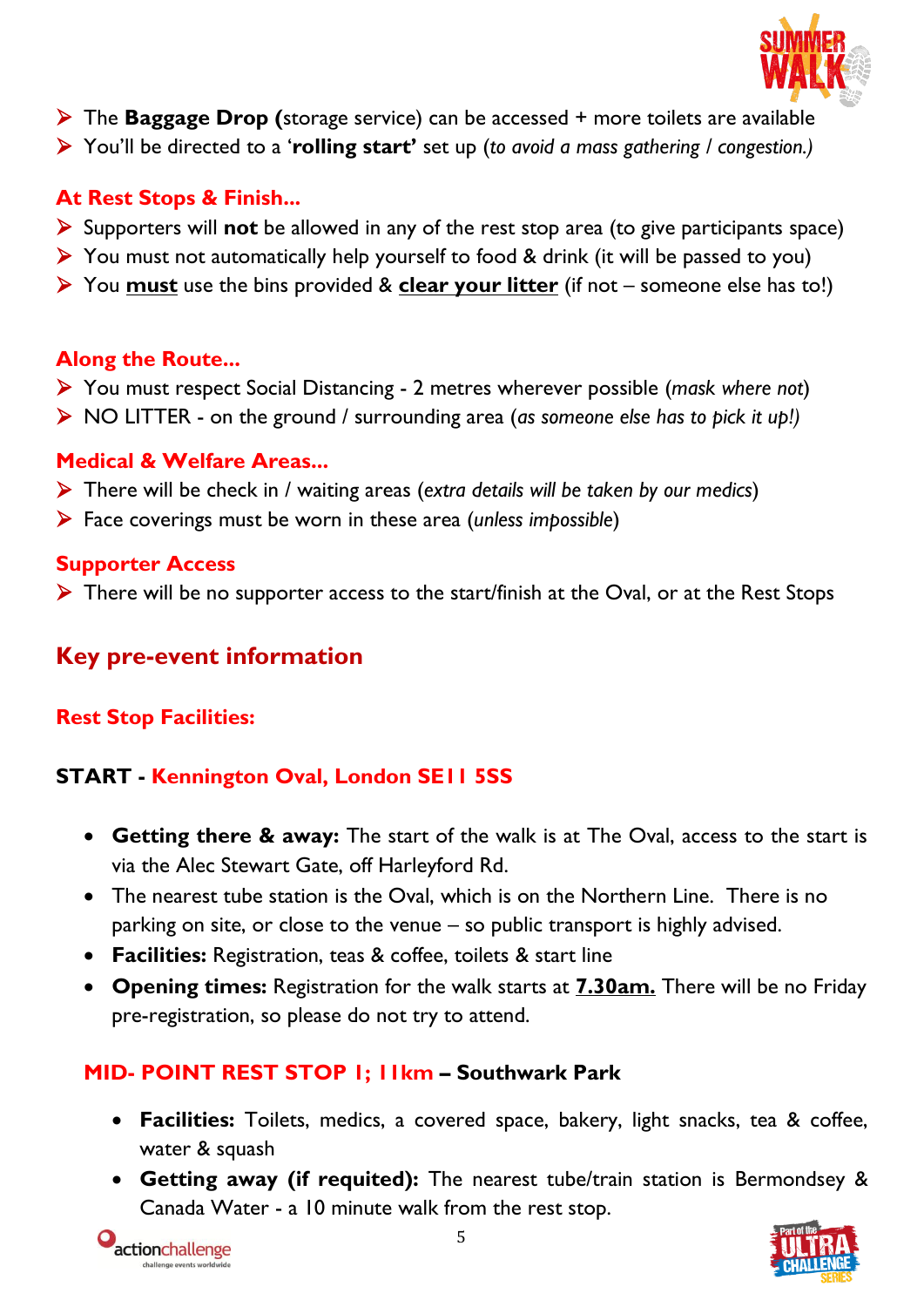

- The **Baggage Drop (**storage service) can be accessed + more toilets are available
- You'll be directed to a '**rolling start'** set up (*to avoid a mass gathering / congestion.)*

## **At Rest Stops & Finish...**

- Supporters will **not** be allowed in any of the rest stop area (to give participants space)
- $\triangleright$  You must not automatically help yourself to food & drink (it will be passed to you)
- You **must** use the bins provided & **clear your litter** (if not someone else has to!)

#### **Along the Route...**

- You must respect Social Distancing 2 metres wherever possible (*mask where not*)
- NO LITTER on the ground / surrounding area (*as someone else has to pick it up!)*

## **Medical & Welfare Areas...**

- There will be check in / waiting areas (*extra details will be taken by our medics*)
- Face coverings must be worn in these area (*unless impossible*)

#### **Supporter Access**

 $\triangleright$  There will be no supporter access to the start/finish at the Oval, or at the Rest Stops

# **Key pre-event information**

## **Rest Stop Facilities:**

# **START - Kennington Oval, London SE11 5SS**

- **Getting there & away:** The start of the walk is at The Oval, access to the start is via the Alec Stewart Gate, off Harleyford Rd.
- The nearest tube station is the Oval, which is on the Northern Line. There is no parking on site, or close to the venue – so public transport is highly advised.
- **Facilities:** Registration, teas & coffee, toilets & start line
- **Opening times:** Registration for the walk starts at **7.30am.** There will be no Friday pre-registration, so please do not try to attend.

## **MID- POINT REST STOP 1; 11km – Southwark Park**

- **Facilities:** Toilets, medics, a covered space, bakery, light snacks, tea & coffee, water & squash
- **Getting away (if requited):** The nearest tube/train station is Bermondsey & Canada Water - a 10 minute walk from the rest stop.



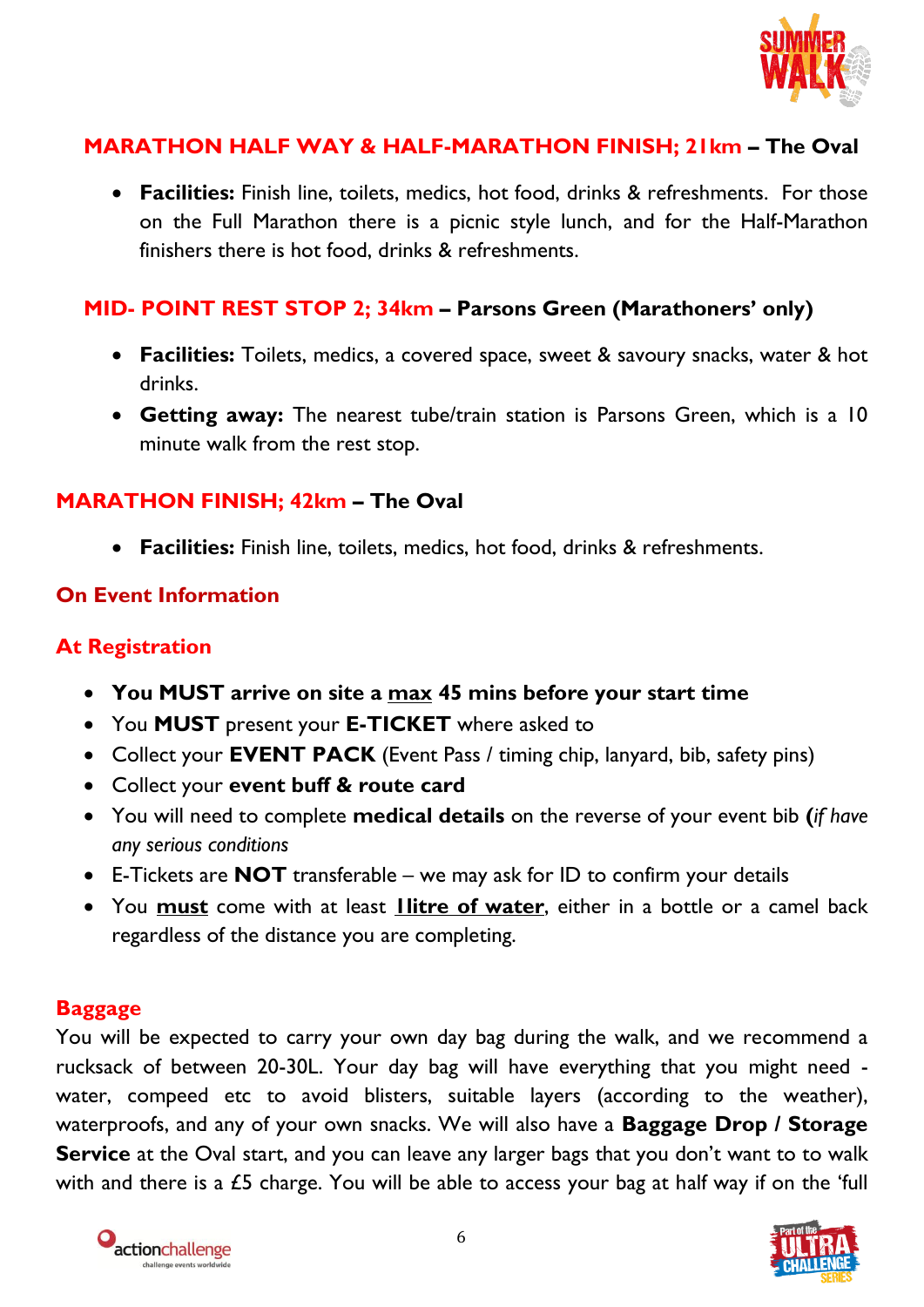

## **MARATHON HALF WAY & HALF-MARATHON FINISH; 21km – The Oval**

 **Facilities:** Finish line, toilets, medics, hot food, drinks & refreshments. For those on the Full Marathon there is a picnic style lunch, and for the Half-Marathon finishers there is hot food, drinks & refreshments.

#### **MID- POINT REST STOP 2; 34km – Parsons Green (Marathoners' only)**

- **Facilities:** Toilets, medics, a covered space, sweet & savoury snacks, water & hot drinks.
- **Getting away:** The nearest tube/train station is Parsons Green, which is a 10 minute walk from the rest stop.

## **MARATHON FINISH; 42km – The Oval**

**Facilities:** Finish line, toilets, medics, hot food, drinks & refreshments.

#### **On Event Information**

## **At Registration**

- **You MUST arrive on site a max 45 mins before your start time**
- You **MUST** present your **E-TICKET** where asked to
- Collect your **EVENT PACK** (Event Pass / timing chip, lanyard, bib, safety pins)
- Collect your **event buff & route card**
- You will need to complete **medical details** on the reverse of your event bib **(***if have any serious conditions*
- E-Tickets are **NOT** transferable we may ask for ID to confirm your details
- You **must** come with at least **1litre of water**, either in a bottle or a camel back regardless of the distance you are completing.

#### **Baggage**

You will be expected to carry your own day bag during the walk, and we recommend a rucksack of between 20-30L. Your day bag will have everything that you might need water, compeed etc to avoid blisters, suitable layers (according to the weather), waterproofs, and any of your own snacks. We will also have a **Baggage Drop / Storage Service** at the Oval start, and you can leave any larger bags that you don't want to to walk with and there is a £5 charge. You will be able to access your bag at half way if on the 'full



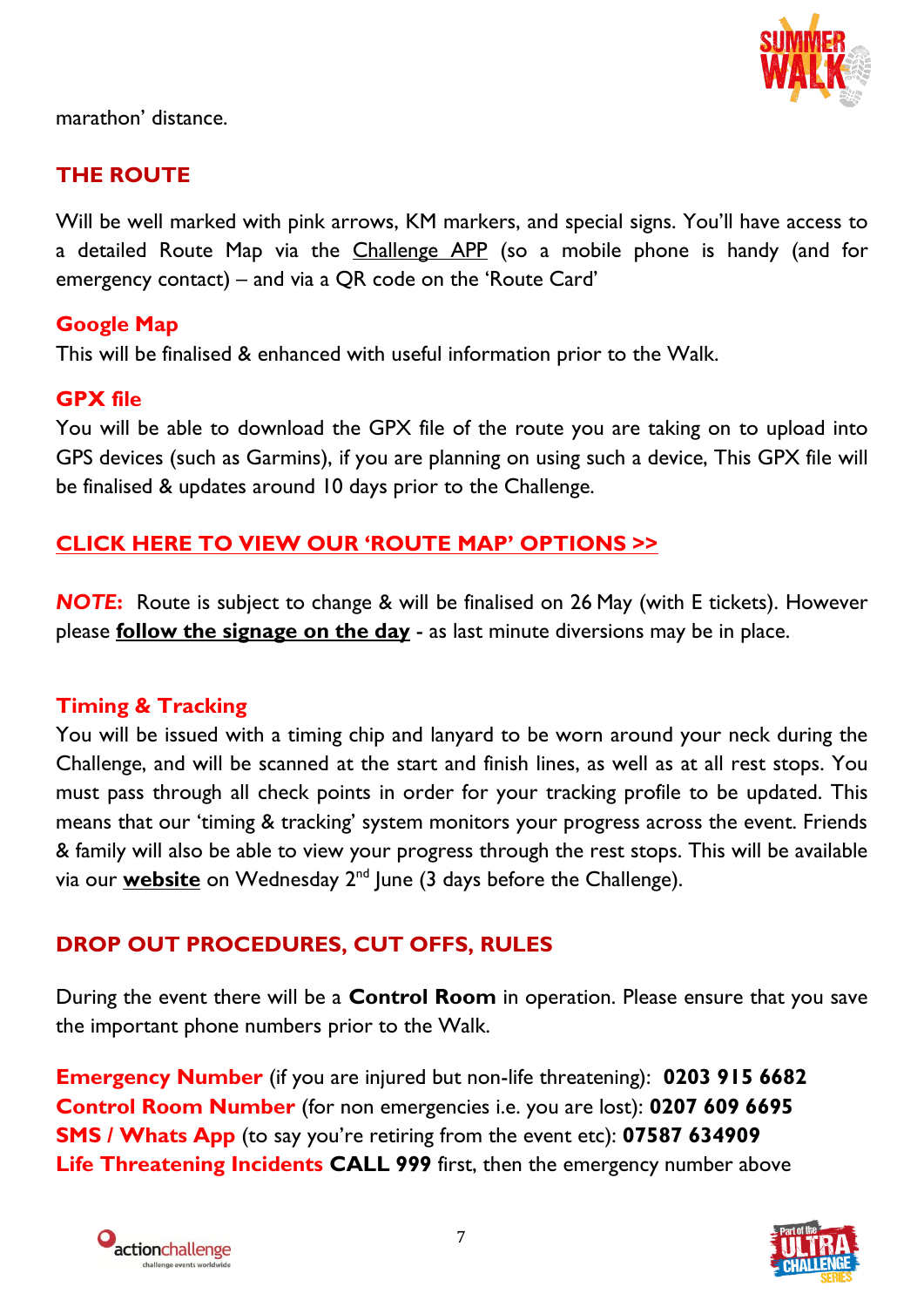

marathon' distance.

## **THE ROUTE**

Will be well marked with pink arrows, KM markers, and special signs. You'll have access to a detailed Route Map via the Challenge APP (so a mobile phone is handy (and for emergency contact) – and via a QR code on the 'Route Card'

## **Google Map**

This will be finalised & enhanced with useful information prior to the Walk.

#### **GPX file**

You will be able to download the GPX file of the route you are taking on to upload into GPS devices (such as Garmins), if you are planning on using such a device, This GPX file will be finalised & updates around 10 days prior to the Challenge.

## **CLICK [HERE TO VIEW OUR 'ROUTE MAP' OPTIONS >>](https://ultrachallenge.com/participant-area/london-summer-walk-participant-area/london-summer-walk-maps-route)**

*NOTE***:** Route is subject to change & will be finalised on 26 May (with E tickets). However please **follow the signage on the day** - as last minute diversions may be in place.

## **Timing & Tracking**

You will be issued with a timing chip and lanyard to be worn around your neck during the Challenge, and will be scanned at the start and finish lines, as well as at all rest stops. You must pass through all check points in order for your tracking profile to be updated. This means that our 'timing & tracking' system monitors your progress across the event. Friends & family will also be able to view your progress through the rest stops. This will be available via our **website** on Wednesday 2<sup>nd</sup> June (3 days before the Challenge).

## **DROP OUT PROCEDURES, CUT OFFS, RULES**

During the event there will be a **Control Room** in operation. Please ensure that you save the important phone numbers prior to the Walk.

**Emergency Number** (if you are injured but non-life threatening): **0203 915 6682 Control Room Number** (for non emergencies i.e. you are lost): **0207 609 6695 SMS / Whats App** (to say you're retiring from the event etc): **07587 634909 Life Threatening Incidents CALL 999** first, then the emergency number above



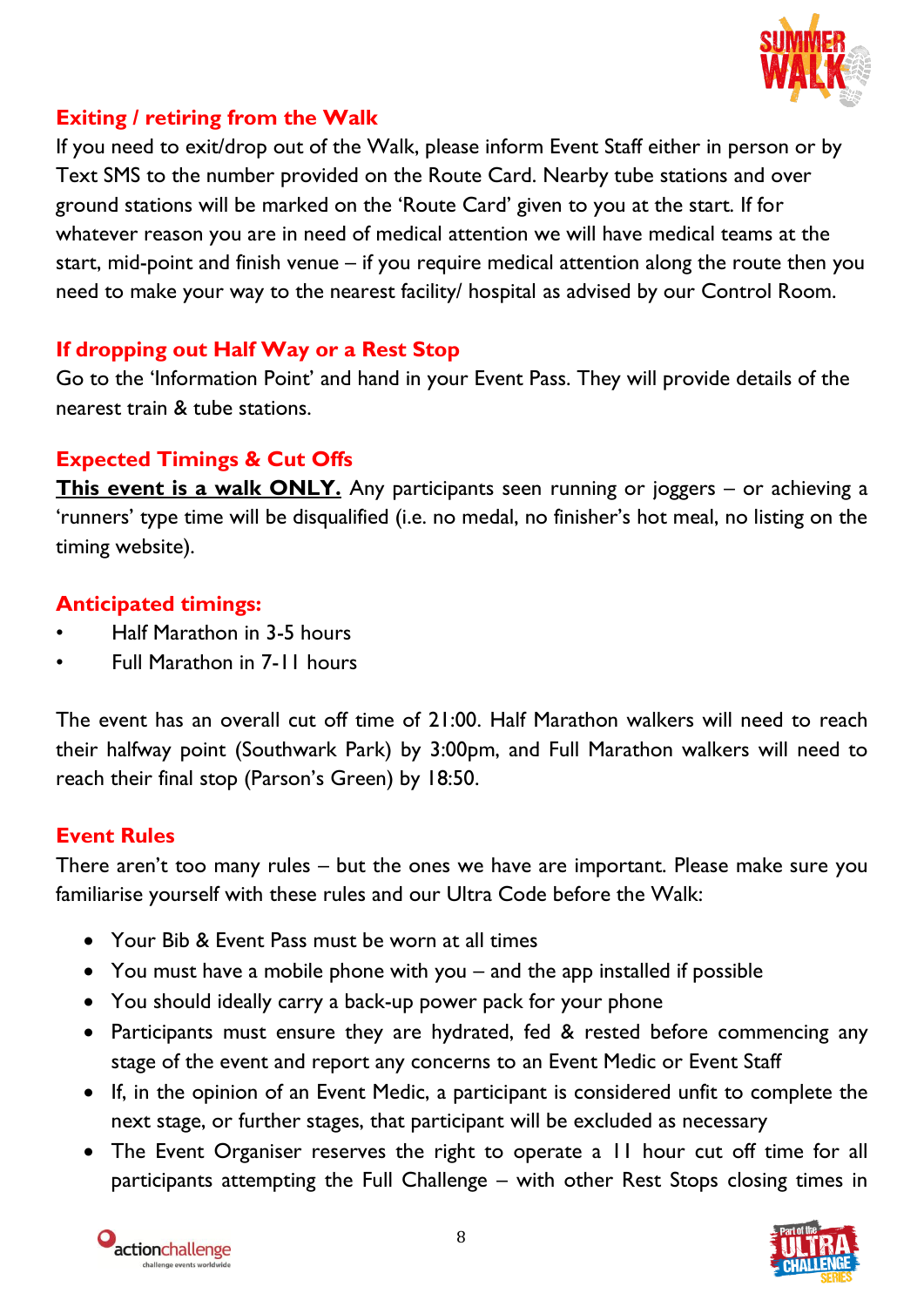

## **Exiting / retiring from the Walk**

If you need to exit/drop out of the Walk, please inform Event Staff either in person or by Text SMS to the number provided on the Route Card. Nearby tube stations and over ground stations will be marked on the 'Route Card' given to you at the start. If for whatever reason you are in need of medical attention we will have medical teams at the start, mid-point and finish venue – if you require medical attention along the route then you need to make your way to the nearest facility/ hospital as advised by our Control Room.

## **If dropping out Half Way or a Rest Stop**

Go to the 'Information Point' and hand in your Event Pass. They will provide details of the nearest train & tube stations.

## **Expected Timings & Cut Offs**

**This event is a walk ONLY.** Any participants seen running or joggers – or achieving a 'runners' type time will be disqualified (i.e. no medal, no finisher's hot meal, no listing on the timing website).

## **Anticipated timings:**

- Half Marathon in 3-5 hours
- Full Marathon in 7-11 hours

The event has an overall cut off time of 21:00. Half Marathon walkers will need to reach their halfway point (Southwark Park) by 3:00pm, and Full Marathon walkers will need to reach their final stop (Parson's Green) by 18:50.

## **Event Rules**

There aren't too many rules – but the ones we have are important. Please make sure you familiarise yourself with these rules and our Ultra Code before the Walk:

- Your Bib & Event Pass must be worn at all times
- You must have a mobile phone with you and the app installed if possible
- You should ideally carry a back-up power pack for your phone
- Participants must ensure they are hydrated, fed & rested before commencing any stage of the event and report any concerns to an Event Medic or Event Staff
- If, in the opinion of an Event Medic, a participant is considered unfit to complete the next stage, or further stages, that participant will be excluded as necessary
- The Event Organiser reserves the right to operate a 11 hour cut off time for all participants attempting the Full Challenge – with other Rest Stops closing times in